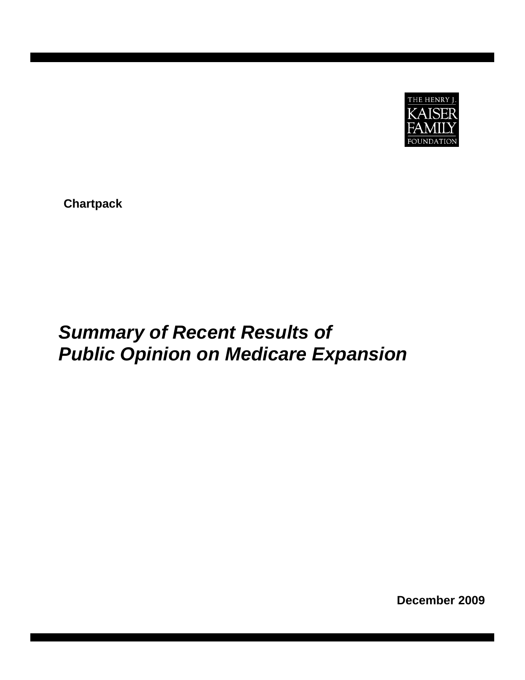

**Chartpack** 

## *Summary of Recent Results of Public Opinion on Medicare Expansion*

**December 2009**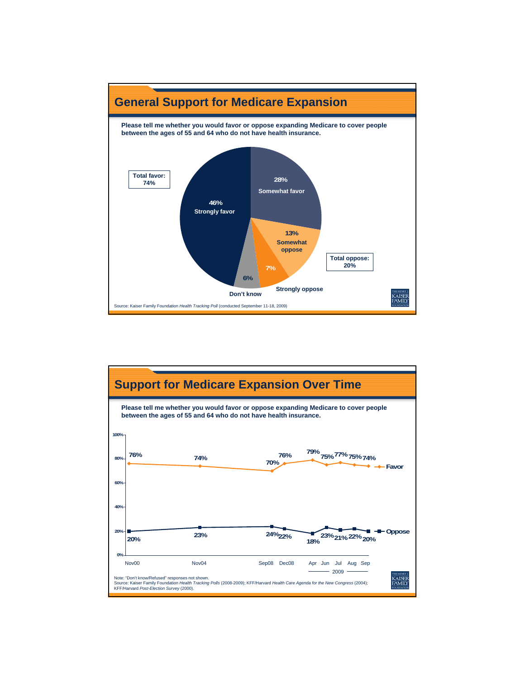